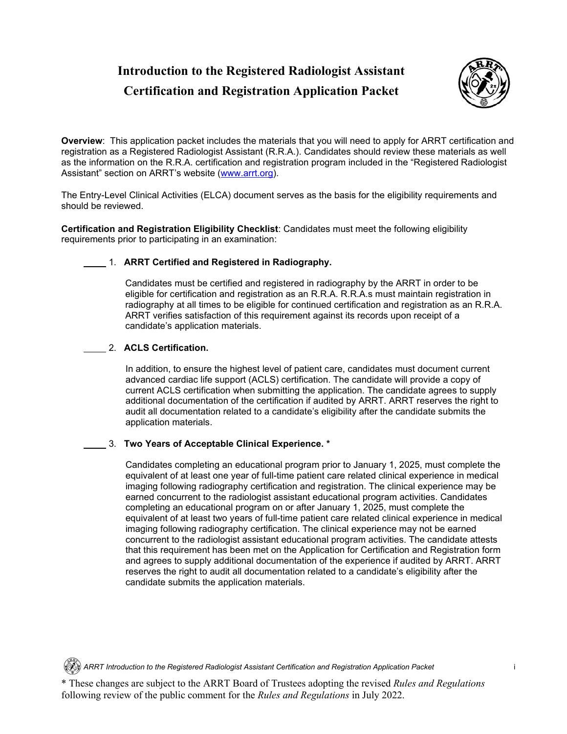# **Introduction to the Registered Radiologist Assistant Certification and Registration Application Packet**



**Overview**: This application packet includes the materials that you will need to apply for ARRT certification and registration as a Registered Radiologist Assistant (R.R.A.). Candidates should review these materials as well as the information on the R.R.A. certification and registration program included in the "Registered Radiologist Assistant" section on ARRT's website [\(www.arrt.org\)](http://www.arrt.org/).

The Entry-Level Clinical Activities (ELCA) document serves as the basis for the eligibility requirements and should be reviewed.

**Certification and Registration Eligibility Checklist**: Candidates must meet the following eligibility requirements prior to participating in an examination:

## 1. **ARRT Certified and Registered in Radiography.**

Candidates must be certified and registered in radiography by the ARRT in order to be eligible for certification and registration as an R.R.A. R.R.A.s must maintain registration in radiography at all times to be eligible for continued certification and registration as an R.R.A. ARRT verifies satisfaction of this requirement against its records upon receipt of a candidate's application materials.

## 2. **ACLS Certification.**

In addition, to ensure the highest level of patient care, candidates must document current advanced cardiac life support (ACLS) certification. The candidate will provide a copy of current ACLS certification when submitting the application. The candidate agrees to supply additional documentation of the certification if audited by ARRT. ARRT reserves the right to audit all documentation related to a candidate's eligibility after the candidate submits the application materials.

## 3. **Two Years of Acceptable Clinical Experience. \***

Candidates completing an educational program prior to January 1, 2025, must complete the equivalent of at least one year of full-time patient care related clinical experience in medical imaging following radiography certification and registration. The clinical experience may be earned concurrent to the radiologist assistant educational program activities. Candidates completing an educational program on or after January 1, 2025, must complete the equivalent of at least two years of full-time patient care related clinical experience in medical imaging following radiography certification. The clinical experience may not be earned concurrent to the radiologist assistant educational program activities. The candidate attests that this requirement has been met on the Application for Certification and Registration form and agrees to supply additional documentation of the experience if audited by ARRT. ARRT reserves the right to audit all documentation related to a candidate's eligibility after the candidate submits the application materials.

*ARRT Introduction to the Registered Radiologist Assistant Certification and Registration Application Packet* i

\* These changes are subject to the ARRT Board of Trustees adopting the revised *Rules and Regulations* following review of the public comment for the *Rules and Regulations* in July 2022.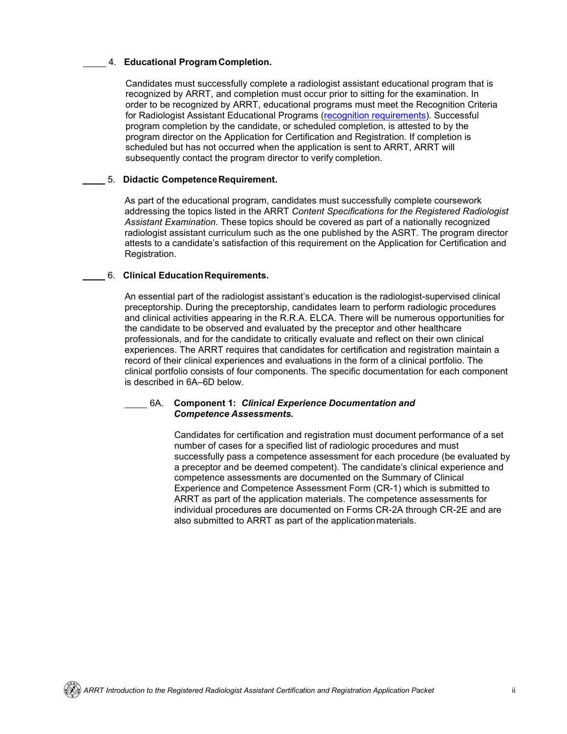#### 4. **Educational ProgramCompletion.**

Candidates must successfully complete a radiologist assistant educational program that is recognized by ARRT, and completion must occur prior to sitting for the examination. In order to be recognized by ARRT, educational programs must meet the Recognition Criteria for Radiologist Assistant Educational Programs (recognition requirements). Successful program completion by the candidate, or scheduled completion, is attested to by the program director on the Application for Certification and Registration. If completion is scheduled but has not occurred when the application is sent to ARRT, ARRT will subsequently contact the program director to verify completion.

#### 5. **Didactic CompetenceRequirement.**

As part of the educational program, candidates must successfully complete coursework addressing the topics listed in the ARRT *Content Specifications for the Registered Radiologist Assistant Examination*. These topics should be covered as part of a nationally recognized radiologist assistant curriculum such as the one published by the ASRT. The program director attests to a candidate's satisfaction of this requirement on the Application for Certification and Registration.

#### 6. **Clinical EducationRequirements.**

An essential part of the radiologist assistant's education is the radiologist-supervised clinical preceptorship. During the preceptorship, candidates learn to perform radiologic procedures and clinical activities appearing in the R.R.A. ELCA. There will be numerous opportunities for the candidate to be observed and evaluated by the preceptor and other healthcare professionals, and for the candidate to critically evaluate and reflect on their own clinical experiences. The ARRT requires that candidates for certification and registration maintain a record of their clinical experiences and evaluations in the form of a clinical portfolio. The clinical portfolio consists of four components. The specific documentation for each component is described in 6A–6D below.

#### 6A. **Component 1:** *Clinical Experience Documentation and Competence Assessments.*

Candidates for certification and registration must document performance of a set number of cases for a specified list of radiologic procedures and must successfully pass a competence assessment for each procedure (be evaluated by a preceptor and be deemed competent). The candidate's clinical experience and competence assessments are documented on the Summary of Clinical Experience and Competence Assessment Form (CR-1) which is submitted to ARRT as part of the application materials. The competence assessments for individual procedures are documented on Forms CR-2A through CR-2E and are also submitted to ARRT as part of the applicationmaterials.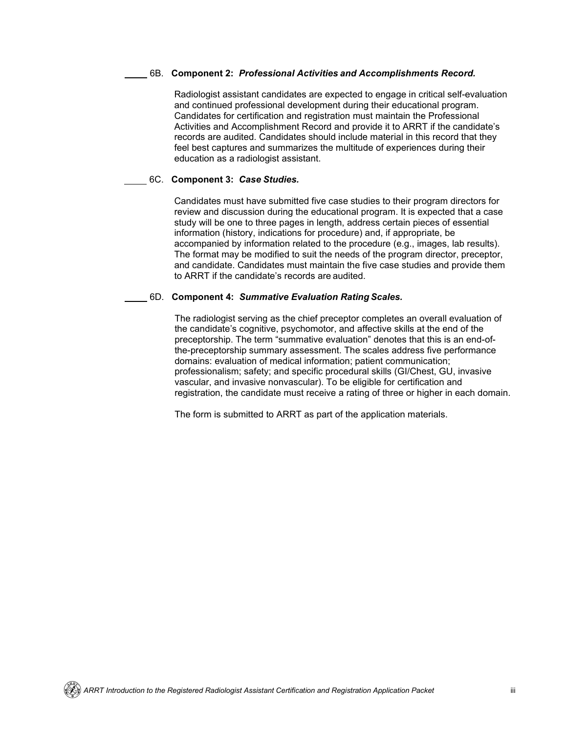#### 6B. **Component 2:** *Professional Activities and Accomplishments Record.*

Radiologist assistant candidates are expected to engage in critical self-evaluation and continued professional development during their educational program. Candidates for certification and registration must maintain the Professional Activities and Accomplishment Record and provide it to ARRT if the candidate's records are audited. Candidates should include material in this record that they feel best captures and summarizes the multitude of experiences during their education as a radiologist assistant.

#### 6C. **Component 3:** *Case Studies.*

Candidates must have submitted five case studies to their program directors for review and discussion during the educational program. It is expected that a case study will be one to three pages in length, address certain pieces of essential information (history, indications for procedure) and, if appropriate, be accompanied by information related to the procedure (e.g., images, lab results). The format may be modified to suit the needs of the program director, preceptor, and candidate. Candidates must maintain the five case studies and provide them to ARRT if the candidate's records are audited.

#### 6D. **Component 4:** *Summative Evaluation Rating Scales.*

The radiologist serving as the chief preceptor completes an overall evaluation of the candidate's cognitive, psychomotor, and affective skills at the end of the preceptorship. The term "summative evaluation" denotes that this is an end-ofthe-preceptorship summary assessment. The scales address five performance domains: evaluation of medical information; patient communication; professionalism; safety; and specific procedural skills (GI/Chest, GU, invasive vascular, and invasive nonvascular). To be eligible for certification and registration, the candidate must receive a rating of three or higher in each domain.

The form is submitted to ARRT as part of the application materials.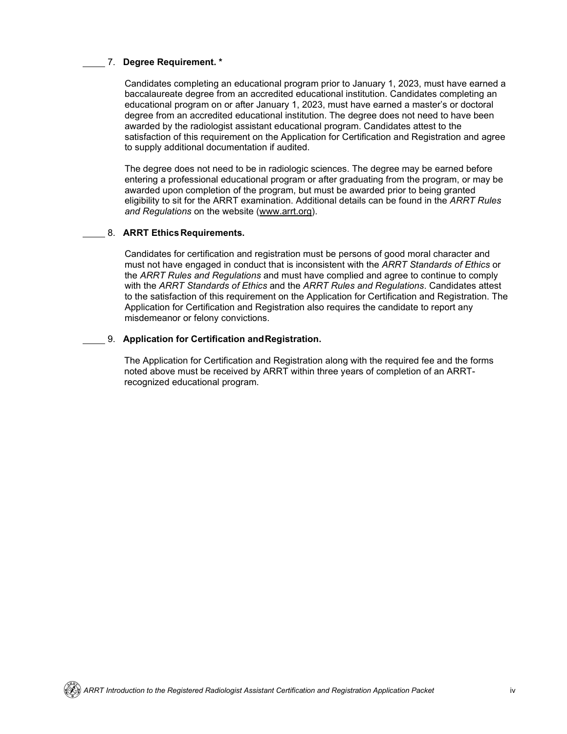## 7. **Degree Requirement. \***

Candidates completing an educational program prior to January 1, 2023, must have earned a baccalaureate degree from an accredited educational institution. Candidates completing an educational program on or after January 1, 2023, must have earned a master's or doctoral degree from an accredited educational institution. The degree does not need to have been awarded by the radiologist assistant educational program. Candidates attest to the satisfaction of this requirement on the Application for Certification and Registration and agree to supply additional documentation if audited.

The degree does not need to be in radiologic sciences. The degree may be earned before entering a professional educational program or after graduating from the program, or may be awarded upon completion of the program, but must be awarded prior to being granted eligibility to sit for the ARRT examination. Additional details can be found in the *ARRT Rules and Regulations* on the website [\(www.arrt.org\)](https://www.arrt.org/pages/about/about-us/governance).

#### 8. **ARRT EthicsRequirements.**

Candidates for certification and registration must be persons of good moral character and must not have engaged in conduct that is inconsistent with the *ARRT Standards of Ethics* or the *ARRT Rules and Regulations* and must have complied and agree to continue to comply with the *ARRT Standards of Ethics* and the *ARRT Rules and Regulations*. Candidates attest to the satisfaction of this requirement on the Application for Certification and Registration. The Application for Certification and Registration also requires the candidate to report any misdemeanor or felony convictions.

#### 9. **Application for Certification andRegistration.**

The Application for Certification and Registration along with the required fee and the forms noted above must be received by ARRT within three years of completion of an ARRTrecognized educational program.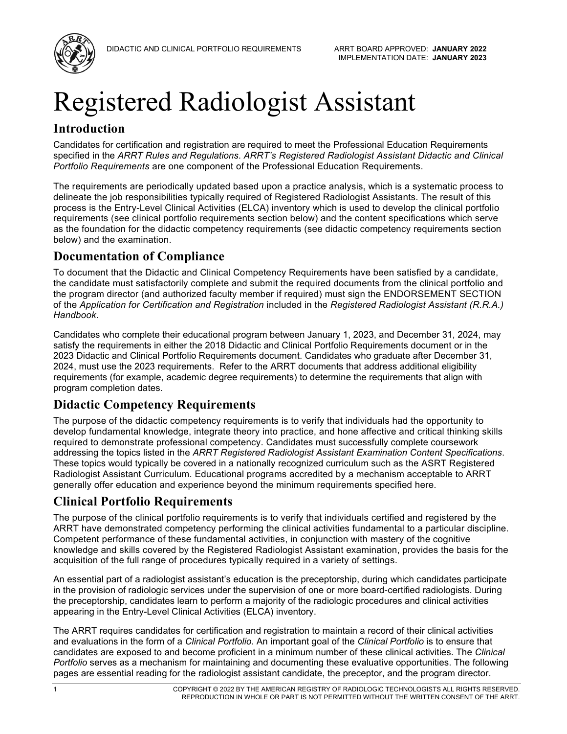

# Registered Radiologist Assistant

## **Introduction**

Candidates for certification and registration are required to meet the Professional Education Requirements specified in the *ARRT Rules and Regulations*. *ARRT's Registered Radiologist Assistant Didactic and Clinical Portfolio Requirements* are one component of the Professional Education Requirements.

The requirements are periodically updated based upon a practice analysis, which is a systematic process to delineate the job responsibilities typically required of Registered Radiologist Assistants. The result of this process is the Entry-Level Clinical Activities (ELCA) inventory which is used to develop the clinical portfolio requirements (see clinical portfolio requirements section below) and the content specifications which serve as the foundation for the didactic competency requirements (see didactic competency requirements section below) and the examination.

## **Documentation of Compliance**

To document that the Didactic and Clinical Competency Requirements have been satisfied by a candidate, the candidate must satisfactorily complete and submit the required documents from the clinical portfolio and the program director (and authorized faculty member if required) must sign the ENDORSEMENT SECTION of the *Application for Certification and Registration* included in the *Registered Radiologist Assistant (R.R.A.) Handbook*.

Candidates who complete their educational program between January 1, 2023, and December 31, 2024, may satisfy the requirements in either the 2018 Didactic and Clinical Portfolio Requirements document or in the 2023 Didactic and Clinical Portfolio Requirements document. Candidates who graduate after December 31, 2024, must use the 2023 requirements. Refer to the ARRT documents that address additional eligibility requirements (for example, academic degree requirements) to determine the requirements that align with program completion dates.

## **Didactic Competency Requirements**

The purpose of the didactic competency requirements is to verify that individuals had the opportunity to develop fundamental knowledge, integrate theory into practice, and hone affective and critical thinking skills required to demonstrate professional competency. Candidates must successfully complete coursework addressing the topics listed in the *ARRT Registered Radiologist Assistant Examination Content Specifications*. These topics would typically be covered in a nationally recognized curriculum such as the ASRT Registered Radiologist Assistant Curriculum. Educational programs accredited by a mechanism acceptable to ARRT generally offer education and experience beyond the minimum requirements specified here.

## **Clinical Portfolio Requirements**

The purpose of the clinical portfolio requirements is to verify that individuals certified and registered by the ARRT have demonstrated competency performing the clinical activities fundamental to a particular discipline. Competent performance of these fundamental activities, in conjunction with mastery of the cognitive knowledge and skills covered by the Registered Radiologist Assistant examination, provides the basis for the acquisition of the full range of procedures typically required in a variety of settings.

An essential part of a radiologist assistant's education is the preceptorship, during which candidates participate in the provision of radiologic services under the supervision of one or more board-certified radiologists. During the preceptorship, candidates learn to perform a majority of the radiologic procedures and clinical activities appearing in the Entry-Level Clinical Activities (ELCA) inventory.

The ARRT requires candidates for certification and registration to maintain a record of their clinical activities and evaluations in the form of a *Clinical Portfolio*. An important goal of the *Clinical Portfolio* is to ensure that candidates are exposed to and become proficient in a minimum number of these clinical activities. The *Clinical Portfolio* serves as a mechanism for maintaining and documenting these evaluative opportunities. The following pages are essential reading for the radiologist assistant candidate, the preceptor, and the program director.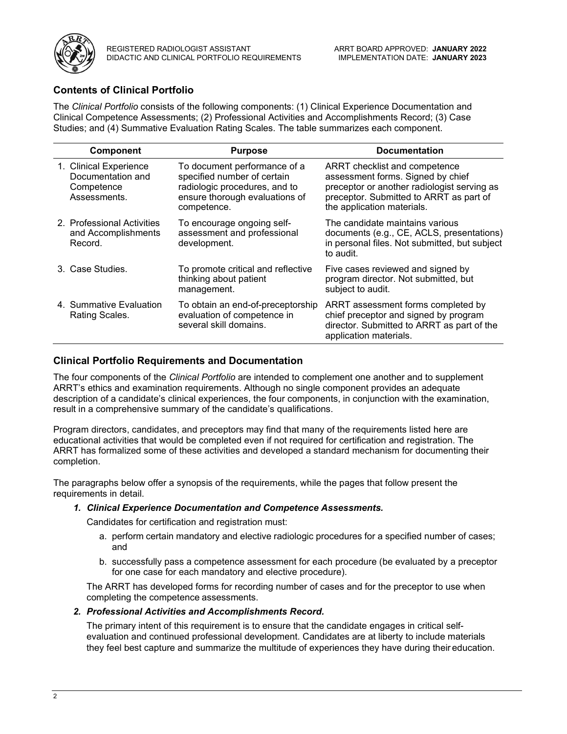

## **Contents of Clinical Portfolio**

The *Clinical Portfolio* consists of the following components: (1) Clinical Experience Documentation and Clinical Competence Assessments; (2) Professional Activities and Accomplishments Record; (3) Case Studies; and (4) Summative Evaluation Rating Scales. The table summarizes each component.

| <b>Component</b>                                                          | <b>Purpose</b>                                                                                                                                | <b>Documentation</b>                                                                                                                                                                       |
|---------------------------------------------------------------------------|-----------------------------------------------------------------------------------------------------------------------------------------------|--------------------------------------------------------------------------------------------------------------------------------------------------------------------------------------------|
| 1. Clinical Experience<br>Documentation and<br>Competence<br>Assessments. | To document performance of a<br>specified number of certain<br>radiologic procedures, and to<br>ensure thorough evaluations of<br>competence. | ARRT checklist and competence<br>assessment forms. Signed by chief<br>preceptor or another radiologist serving as<br>preceptor. Submitted to ARRT as part of<br>the application materials. |
| 2. Professional Activities<br>and Accomplishments<br>Record.              | To encourage ongoing self-<br>assessment and professional<br>development.                                                                     | The candidate maintains various<br>documents (e.g., CE, ACLS, presentations)<br>in personal files. Not submitted, but subject<br>to audit.                                                 |
| 3. Case Studies.                                                          | To promote critical and reflective<br>thinking about patient<br>management.                                                                   | Five cases reviewed and signed by<br>program director. Not submitted, but<br>subject to audit.                                                                                             |
| 4. Summative Evaluation<br>Rating Scales.                                 | To obtain an end-of-preceptorship<br>evaluation of competence in<br>several skill domains.                                                    | ARRT assessment forms completed by<br>chief preceptor and signed by program<br>director. Submitted to ARRT as part of the<br>application materials.                                        |

## **Clinical Portfolio Requirements and Documentation**

The four components of the *Clinical Portfolio* are intended to complement one another and to supplement ARRT's ethics and examination requirements. Although no single component provides an adequate description of a candidate's clinical experiences, the four components, in conjunction with the examination, result in a comprehensive summary of the candidate's qualifications.

Program directors, candidates, and preceptors may find that many of the requirements listed here are educational activities that would be completed even if not required for certification and registration. The ARRT has formalized some of these activities and developed a standard mechanism for documenting their completion.

The paragraphs below offer a synopsis of the requirements, while the pages that follow present the requirements in detail.

## *1. Clinical Experience Documentation and Competence Assessments.*

Candidates for certification and registration must:

- a. perform certain mandatory and elective radiologic procedures for a specified number of cases; and
- b. successfully pass a competence assessment for each procedure (be evaluated by a preceptor for one case for each mandatory and elective procedure).

The ARRT has developed forms for recording number of cases and for the preceptor to use when completing the competence assessments.

*2. Professional Activities and Accomplishments Record.*

The primary intent of this requirement is to ensure that the candidate engages in critical selfevaluation and continued professional development. Candidates are at liberty to include materials they feel best capture and summarize the multitude of experiences they have during their education.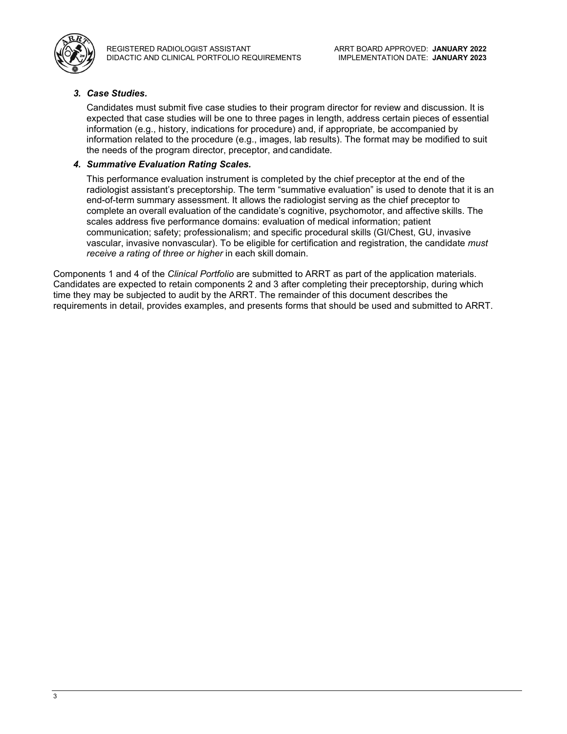

REGISTERED RADIOLOGIST ASSISTANT DIDACTIC AND CLINICAL PORTFOLIO REQUIREMENTS

## *3. Case Studies.*

Candidates must submit five case studies to their program director for review and discussion. It is expected that case studies will be one to three pages in length, address certain pieces of essential information (e.g., history, indications for procedure) and, if appropriate, be accompanied by information related to the procedure (e.g., images, lab results). The format may be modified to suit the needs of the program director, preceptor, and candidate.

#### *4. Summative Evaluation Rating Scales.*

This performance evaluation instrument is completed by the chief preceptor at the end of the radiologist assistant's preceptorship. The term "summative evaluation" is used to denote that it is an end-of-term summary assessment. It allows the radiologist serving as the chief preceptor to complete an overall evaluation of the candidate's cognitive, psychomotor, and affective skills. The scales address five performance domains: evaluation of medical information; patient communication; safety; professionalism; and specific procedural skills (GI/Chest, GU, invasive vascular, invasive nonvascular). To be eligible for certification and registration, the candidate *must receive a rating of three or higher* in each skill domain.

Components 1 and 4 of the *Clinical Portfolio* are submitted to ARRT as part of the application materials. Candidates are expected to retain components 2 and 3 after completing their preceptorship, during which time they may be subjected to audit by the ARRT. The remainder of this document describes the requirements in detail, provides examples, and presents forms that should be used and submitted to ARRT.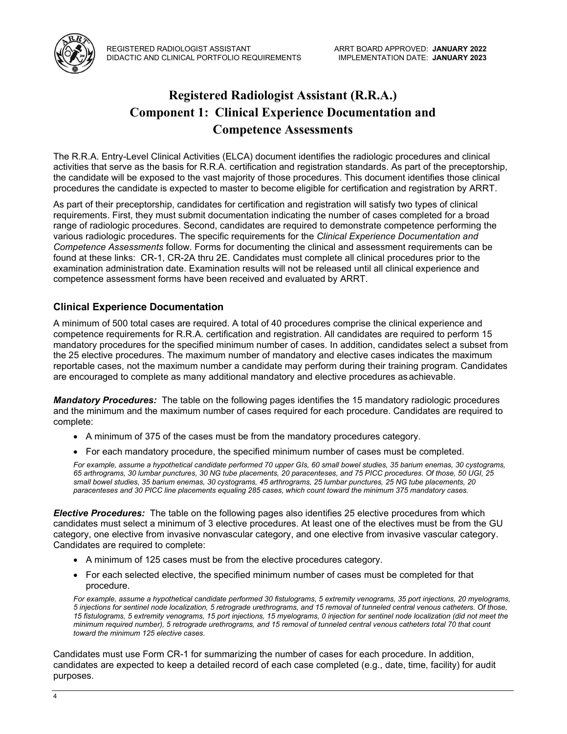

# **Registered Radiologist Assistant (R.R.A.) Component 1: Clinical Experience Documentation and Competence Assessments**

The R.R.A. Entry-Level Clinical Activities (ELCA) document identifies the radiologic procedures and clinical activities that serve as the basis for R.R.A. certification and registration standards. As part of the preceptorship, the candidate will be exposed to the vast majority of those procedures. This document identifies those clinical procedures the candidate is expected to master to become eligible for certification and registration by ARRT.

As part of their preceptorship, candidates for certification and registration will satisfy two types of clinical requirements. First, they must submit documentation indicating the number of cases completed for a broad range of radiologic procedures. Second, candidates are required to demonstrate competence performing the various radiologic procedures. The specific requirements for the *Clinical Experience Documentation and Competence Assessments* follow. Forms for documenting the clinical and assessment requirements can be found at these links: CR-1, CR-2A thru 2E. Candidates must complete all clinical procedures prior to the examination administration date. Examination results will not be released until all clinical experience and competence assessment forms have been received and evaluated by ARRT.

## **Clinical Experience Documentation**

A minimum of 500 total cases are required. A total of 40 procedures comprise the clinical experience and competence requirements for R.R.A. certification and registration. All candidates are required to perform 15 mandatory procedures for the specified minimum number of cases. In addition, candidates select a subset from the 25 elective procedures. The maximum number of mandatory and elective cases indicates the maximum reportable cases, not the maximum number a candidate may perform during their training program. Candidates are encouraged to complete as many additional mandatory and elective procedures asachievable.

*Mandatory Procedures:* The table on the following pages identifies the 15 mandatory radiologic procedures and the minimum and the maximum number of cases required for each procedure. Candidates are required to complete:

- A minimum of 375 of the cases must be from the mandatory procedures category.
- For each mandatory procedure, the specified minimum number of cases must be completed.

*For example, assume a hypothetical candidate performed 70 upper GIs, 60 small bowel studies, 35 barium enemas, 30 cystograms, 65 arthrograms, 30 lumbar punctures, 30 NG tube placements, 20 paracenteses, and 75 PICC procedures. Of those, 50 UGI, 25 small bowel studies, 35 barium enemas, 30 cystograms, 45 arthrograms, 25 lumbar punctures, 25 NG tube placements, 20 paracenteses and 30 PICC line placements equaling 285 cases, which count toward the minimum 375 mandatory cases.*

*Elective Procedures:* The table on the following pages also identifies 25 elective procedures from which candidates must select a minimum of 3 elective procedures. At least one of the electives must be from the GU category, one elective from invasive nonvascular category, and one elective from invasive vascular category. Candidates are required to complete:

- A minimum of 125 cases must be from the elective procedures category.
- For each selected elective, the specified minimum number of cases must be completed for that procedure.

*For example, assume a hypothetical candidate performed 30 fistulograms, 5 extremity venograms, 35 port injections, 20 myelograms, 5 injections for sentinel node localization, 5 retrograde urethrograms, and 15 removal of tunneled central venous catheters. Of those, 15 fistulograms, 5 extremity venograms, 15 port injections, 15 myelograms, 0 injection for sentinel node localization (did not meet the minimum required number), 5 retrograde urethrograms, and 15 removal of tunneled central venous catheters total 70 that count toward the minimum 125 elective cases.*

Candidates must use Form CR-1 for summarizing the number of cases for each procedure. In addition, candidates are expected to keep a detailed record of each case completed (e.g., date, time, facility) for audit purposes.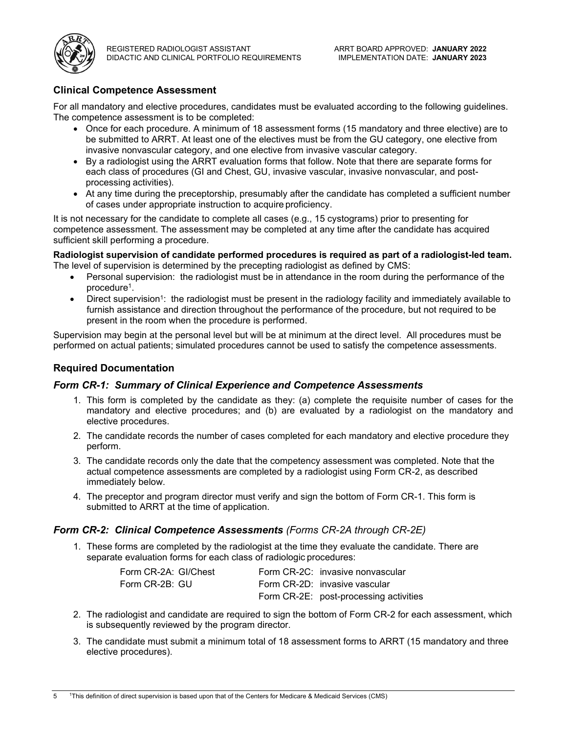

## **Clinical Competence Assessment**

For all mandatory and elective procedures, candidates must be evaluated according to the following guidelines. The competence assessment is to be completed:

- Once for each procedure. A minimum of 18 assessment forms (15 mandatory and three elective) are to be submitted to ARRT. At least one of the electives must be from the GU category, one elective from invasive nonvascular category, and one elective from invasive vascular category.
- By a radiologist using the ARRT evaluation forms that follow. Note that there are separate forms for each class of procedures (GI and Chest, GU, invasive vascular, invasive nonvascular, and postprocessing activities).
- At any time during the preceptorship, presumably after the candidate has completed a sufficient number of cases under appropriate instruction to acquire proficiency.

It is not necessary for the candidate to complete all cases (e.g., 15 cystograms) prior to presenting for competence assessment. The assessment may be completed at any time after the candidate has acquired sufficient skill performing a procedure.

#### **Radiologist supervision of candidate performed procedures is required as part of a radiologist-led team.** The level of supervision is determined by the precepting radiologist as defined by CMS:

- Personal supervision: the radiologist must be in attendance in the room during the performance of the procedure1.
- Direct supervision<sup>1</sup>: the radiologist must be present in the radiology facility and immediately available to furnish assistance and direction throughout the performance of the procedure, but not required to be present in the room when the procedure is performed.

Supervision may begin at the personal level but will be at minimum at the direct level. All procedures must be performed on actual patients; simulated procedures cannot be used to satisfy the competence assessments.

## **Required Documentation**

## *Form CR-1: Summary of Clinical Experience and Competence Assessments*

- 1. This form is completed by the candidate as they: (a) complete the requisite number of cases for the mandatory and elective procedures; and (b) are evaluated by a radiologist on the mandatory and elective procedures.
- 2. The candidate records the number of cases completed for each mandatory and elective procedure they perform.
- 3. The candidate records only the date that the competency assessment was completed. Note that the actual competence assessments are completed by a radiologist using Form CR-2, as described immediately below.
- 4. The preceptor and program director must verify and sign the bottom of Form CR-1. This form is submitted to ARRT at the time of application.

## *Form CR-2: Clinical Competence Assessments (Forms CR-2A through CR-2E)*

1. These forms are completed by the radiologist at the time they evaluate the candidate. There are separate evaluation forms for each class of radiologic procedures:

| Form CR-2A: GI/Chest | Form CR-2C: invasive nonvascular       |
|----------------------|----------------------------------------|
| Form CR-2B: GU       | Form CR-2D: invasive vascular          |
|                      | Form CR-2E: post-processing activities |

- 2. The radiologist and candidate are required to sign the bottom of Form CR-2 for each assessment, which is subsequently reviewed by the program director.
- 3. The candidate must submit a minimum total of 18 assessment forms to ARRT (15 mandatory and three elective procedures).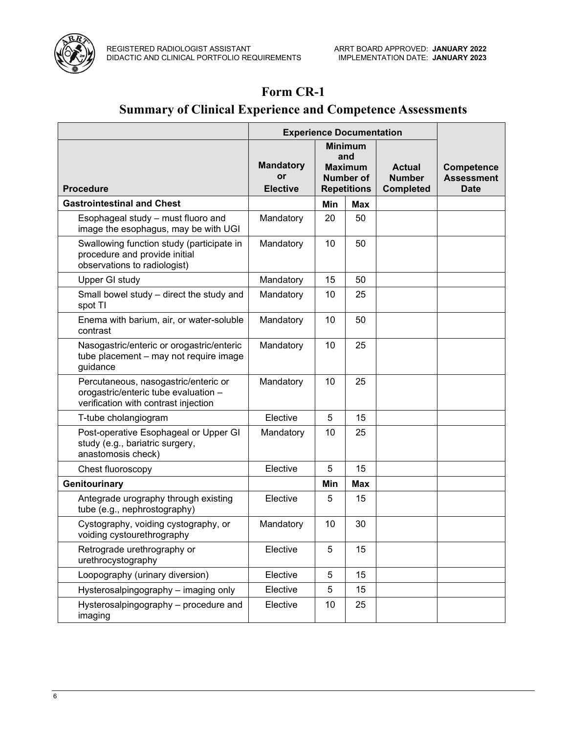

## **Form CR-1**

# **Summary of Clinical Experience and Competence Assessments**

|                                                                                                                      | <b>Experience Documentation</b>           |                                                                            |            |                                                    |                                                       |
|----------------------------------------------------------------------------------------------------------------------|-------------------------------------------|----------------------------------------------------------------------------|------------|----------------------------------------------------|-------------------------------------------------------|
| <b>Procedure</b>                                                                                                     | <b>Mandatory</b><br>or<br><b>Elective</b> | <b>Minimum</b><br>and<br><b>Maximum</b><br>Number of<br><b>Repetitions</b> |            | <b>Actual</b><br><b>Number</b><br><b>Completed</b> | <b>Competence</b><br><b>Assessment</b><br><b>Date</b> |
| <b>Gastrointestinal and Chest</b>                                                                                    |                                           | Min                                                                        | <b>Max</b> |                                                    |                                                       |
| Esophageal study - must fluoro and<br>image the esophagus, may be with UGI                                           | Mandatory                                 | 20                                                                         | 50         |                                                    |                                                       |
| Swallowing function study (participate in<br>procedure and provide initial<br>observations to radiologist)           | Mandatory                                 | 10                                                                         | 50         |                                                    |                                                       |
| Upper GI study                                                                                                       | Mandatory                                 | 15                                                                         | 50         |                                                    |                                                       |
| Small bowel study - direct the study and<br>spot TI                                                                  | Mandatory                                 | 10                                                                         | 25         |                                                    |                                                       |
| Enema with barium, air, or water-soluble<br>contrast                                                                 | Mandatory                                 | 10                                                                         | 50         |                                                    |                                                       |
| Nasogastric/enteric or orogastric/enteric<br>tube placement - may not require image<br>guidance                      | Mandatory                                 | 10                                                                         | 25         |                                                    |                                                       |
| Percutaneous, nasogastric/enteric or<br>orogastric/enteric tube evaluation -<br>verification with contrast injection | Mandatory                                 | 10                                                                         | 25         |                                                    |                                                       |
| T-tube cholangiogram                                                                                                 | Elective                                  | 5                                                                          | 15         |                                                    |                                                       |
| Post-operative Esophageal or Upper GI<br>study (e.g., bariatric surgery,<br>anastomosis check)                       | Mandatory                                 | 10                                                                         | 25         |                                                    |                                                       |
| Chest fluoroscopy                                                                                                    | Elective                                  | 5                                                                          | 15         |                                                    |                                                       |
| Genitourinary                                                                                                        |                                           | Min                                                                        | <b>Max</b> |                                                    |                                                       |
| Antegrade urography through existing<br>tube (e.g., nephrostography)                                                 | Elective                                  | 5                                                                          | 15         |                                                    |                                                       |
| Cystography, voiding cystography, or<br>voiding cystourethrography                                                   | Mandatory                                 | 10                                                                         | 30         |                                                    |                                                       |
| Retrograde urethrography or<br>urethrocystography                                                                    | Elective                                  | 5                                                                          | 15         |                                                    |                                                       |
| Loopography (urinary diversion)                                                                                      | Elective                                  | 5                                                                          | 15         |                                                    |                                                       |
| Hysterosalpingography - imaging only                                                                                 | Elective                                  | 5                                                                          | 15         |                                                    |                                                       |
| Hysterosalpingography - procedure and<br>imaging                                                                     | Elective                                  | 10                                                                         | 25         |                                                    |                                                       |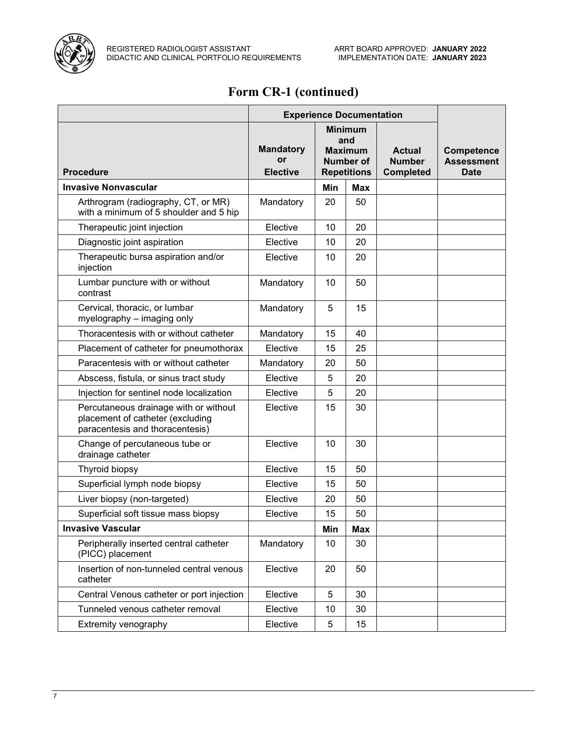

# **Form CR-1 (continued)**

|                                                                                                              | <b>Experience Documentation</b>           |                                                                                   |            |                                                    |                                                       |
|--------------------------------------------------------------------------------------------------------------|-------------------------------------------|-----------------------------------------------------------------------------------|------------|----------------------------------------------------|-------------------------------------------------------|
| <b>Procedure</b>                                                                                             | <b>Mandatory</b><br>or<br><b>Elective</b> | <b>Minimum</b><br>and<br><b>Maximum</b><br><b>Number of</b><br><b>Repetitions</b> |            | <b>Actual</b><br><b>Number</b><br><b>Completed</b> | <b>Competence</b><br><b>Assessment</b><br><b>Date</b> |
| <b>Invasive Nonvascular</b>                                                                                  |                                           | Min                                                                               | <b>Max</b> |                                                    |                                                       |
| Arthrogram (radiography, CT, or MR)<br>with a minimum of 5 shoulder and 5 hip                                | Mandatory                                 | 20                                                                                | 50         |                                                    |                                                       |
| Therapeutic joint injection                                                                                  | Elective                                  | 10                                                                                | 20         |                                                    |                                                       |
| Diagnostic joint aspiration                                                                                  | Elective                                  | 10                                                                                | 20         |                                                    |                                                       |
| Therapeutic bursa aspiration and/or<br>injection                                                             | Elective                                  | 10                                                                                | 20         |                                                    |                                                       |
| Lumbar puncture with or without<br>contrast                                                                  | Mandatory                                 | 10                                                                                | 50         |                                                    |                                                       |
| Cervical, thoracic, or lumbar<br>myelography - imaging only                                                  | Mandatory                                 | 5                                                                                 | 15         |                                                    |                                                       |
| Thoracentesis with or without catheter                                                                       | Mandatory                                 | 15                                                                                | 40         |                                                    |                                                       |
| Placement of catheter for pneumothorax                                                                       | Elective                                  | 15                                                                                | 25         |                                                    |                                                       |
| Paracentesis with or without catheter                                                                        | Mandatory                                 | 20                                                                                | 50         |                                                    |                                                       |
| Abscess, fistula, or sinus tract study                                                                       | Elective                                  | 5                                                                                 | 20         |                                                    |                                                       |
| Injection for sentinel node localization                                                                     | Elective                                  | 5                                                                                 | 20         |                                                    |                                                       |
| Percutaneous drainage with or without<br>placement of catheter (excluding<br>paracentesis and thoracentesis) | Elective                                  | 15                                                                                | 30         |                                                    |                                                       |
| Change of percutaneous tube or<br>drainage catheter                                                          | Elective                                  | 10                                                                                | 30         |                                                    |                                                       |
| Thyroid biopsy                                                                                               | Elective                                  | 15                                                                                | 50         |                                                    |                                                       |
| Superficial lymph node biopsy                                                                                | Elective                                  | 15                                                                                | 50         |                                                    |                                                       |
| Liver biopsy (non-targeted)                                                                                  | Elective                                  | 20                                                                                | 50         |                                                    |                                                       |
| Superficial soft tissue mass biopsy                                                                          | Elective                                  | 15                                                                                | 50         |                                                    |                                                       |
| <b>Invasive Vascular</b>                                                                                     |                                           | Min                                                                               | <b>Max</b> |                                                    |                                                       |
| Peripherally inserted central catheter<br>(PICC) placement                                                   | Mandatory                                 | 10                                                                                | 30         |                                                    |                                                       |
| Insertion of non-tunneled central venous<br>catheter                                                         | Elective                                  | 20                                                                                | 50         |                                                    |                                                       |
| Central Venous catheter or port injection                                                                    | Elective                                  | 5                                                                                 | 30         |                                                    |                                                       |
| Tunneled venous catheter removal                                                                             | Elective                                  | 10                                                                                | 30         |                                                    |                                                       |
| Extremity venography                                                                                         | Elective                                  | 5                                                                                 | 15         |                                                    |                                                       |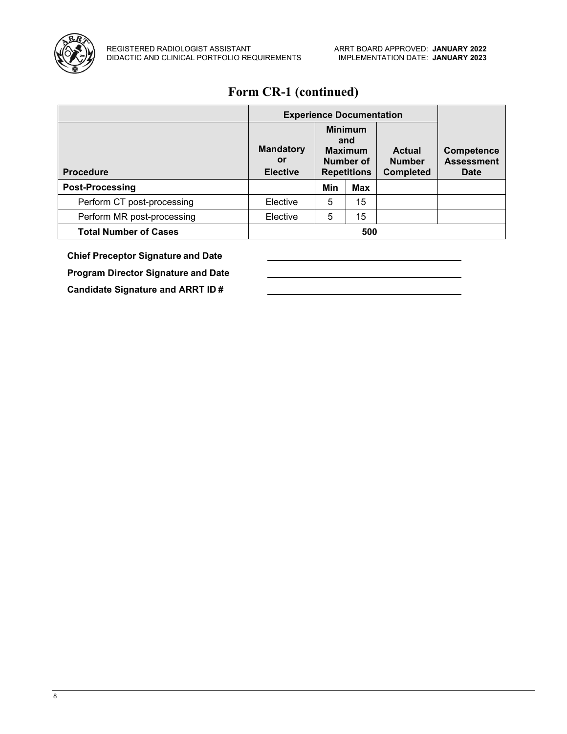

# **Form CR-1 (continued)**

|                              | <b>Experience Documentation</b>           |                                                                            |            |                                             |                                                       |
|------------------------------|-------------------------------------------|----------------------------------------------------------------------------|------------|---------------------------------------------|-------------------------------------------------------|
| <b>Procedure</b>             | <b>Mandatory</b><br>or<br><b>Elective</b> | <b>Minimum</b><br>and<br><b>Maximum</b><br>Number of<br><b>Repetitions</b> |            | Actual<br><b>Number</b><br><b>Completed</b> | <b>Competence</b><br><b>Assessment</b><br><b>Date</b> |
| <b>Post-Processing</b>       |                                           | Min                                                                        | <b>Max</b> |                                             |                                                       |
| Perform CT post-processing   | Elective                                  | 5                                                                          | 15         |                                             |                                                       |
| Perform MR post-processing   | Elective                                  | 5                                                                          | 15         |                                             |                                                       |
| <b>Total Number of Cases</b> | 500                                       |                                                                            |            |                                             |                                                       |

**Chief Preceptor Signature and Date**

**Program Director Signature and Date**

**Candidate Signature and ARRT ID #**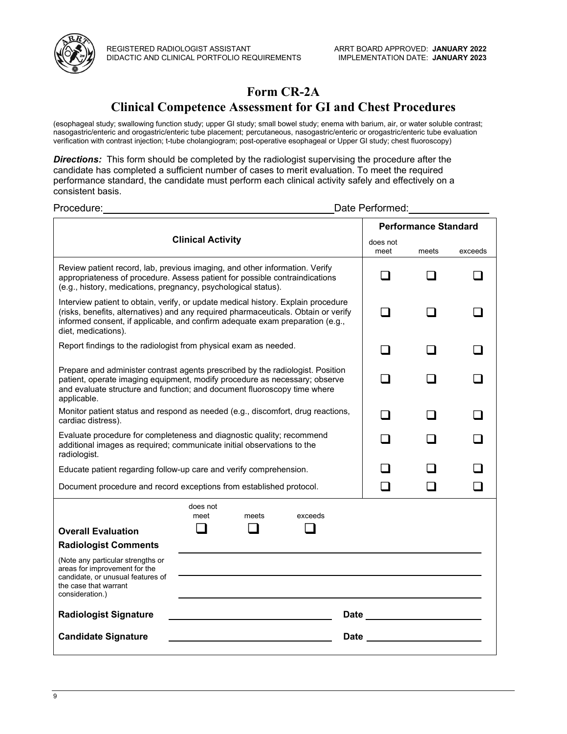

## **Form CR-2A**

## **Clinical Competence Assessment for GI and Chest Procedures**

(esophageal study; swallowing function study; upper GI study; small bowel study; enema with barium, air, or water soluble contrast; nasogastric/enteric and orogastric/enteric tube placement; percutaneous, nasogastric/enteric or orogastric/enteric tube evaluation verification with contrast injection; t-tube cholangiogram; post-operative esophageal or Upper GI study; chest fluoroscopy)

*Directions:* This form should be completed by the radiologist supervising the procedure after the candidate has completed a sufficient number of cases to merit evaluation. To meet the required performance standard, the candidate must perform each clinical activity safely and effectively on a consistent basis.

Procedure: **Date Performed:** Procedure: **Date Performed: Clinical Activity Performance Standard** does not meet meets exceeds Review patient record, lab, previous imaging, and other information. Verify appropriateness of procedure. Assess patient for possible contraindications (e.g., history, medications, pregnancy, psychological status).  $\begin{array}{ccccccccccccc} \Box & & \Box & & \Box & & \Box \end{array}$ Interview patient to obtain, verify, or update medical history. Explain procedure (risks, benefits, alternatives) and any required pharmaceuticals. Obtain or verify informed consent, if applicable, and confirm adequate exam preparation (e.g., diet, medications).  $\begin{array}{ccccccccccccccccc} \Box & & \Box & & \Box & & \Box \end{array}$ Report findings to the radiologist from physical exam as needed. Prepare and administer contrast agents prescribed by the radiologist. Position patient, operate imaging equipment, modify procedure as necessary; observe and evaluate structure and function; and document fluoroscopy time where applicable.  $\begin{array}{ccccccccccccccccc} \Box & & \Box & & \Box & & \Box \end{array}$ Monitor patient status and respond as needed (e.g., discomfort, drug reactions,  $\begin{array}{ccc} \Box & \Box & \Box \ \ \end{array}$ Evaluate procedure for completeness and diagnostic quality; recommend additional images as required; communicate initial observations to the radiologist.  $\begin{array}{ccccccccccccc} \Box & & \Box & & \Box & & \Box \end{array}$ Educate patient regarding follow-up care and verify comprehension.  $\Box$ Document procedure and record exceptions from established protocol.  $\Box$ **Overall Evaluation** does not meet meets exceeds  $\begin{array}{ccc} \square & \square & \square \end{array}$ **Radiologist Comments** (Note any particular strengths or areas for improvement for the candidate, or unusual features of the case that warrant consideration.) **Radiologist Signature Letter Construct Construct Construct Construct Construct Construct Construction Construction Candidate Signature Date**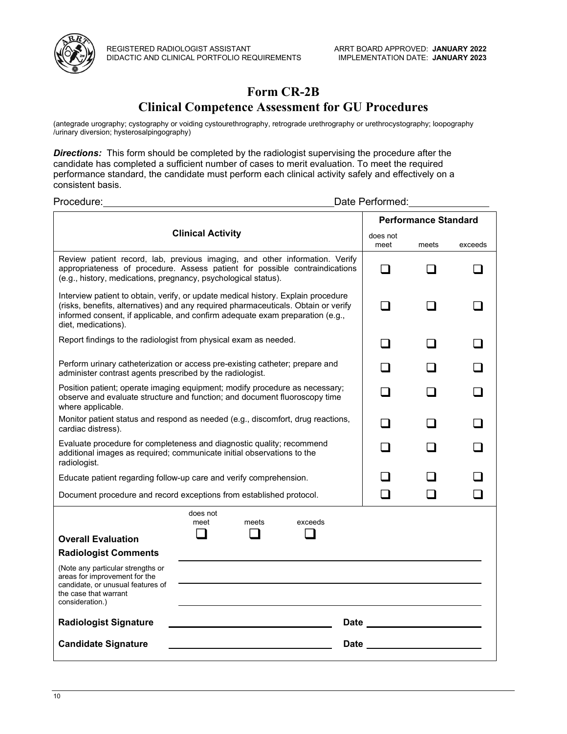

## **Form CR-2B**

## **Clinical Competence Assessment for GU Procedures**

(antegrade urography; cystography or voiding cystourethrography, retrograde urethrography or urethrocystography; loopography /urinary diversion; hysterosalpingography)

**Directions:** This form should be completed by the radiologist supervising the procedure after the candidate has completed a sufficient number of cases to merit evaluation. To meet the required performance standard, the candidate must perform each clinical activity safely and effectively on a consistent basis.

| Procedure:                                                                                                                                                                                                                                                                      | Date Performed:                      |                                                                                                                                                                                                                                |         |  |  |  |
|---------------------------------------------------------------------------------------------------------------------------------------------------------------------------------------------------------------------------------------------------------------------------------|--------------------------------------|--------------------------------------------------------------------------------------------------------------------------------------------------------------------------------------------------------------------------------|---------|--|--|--|
|                                                                                                                                                                                                                                                                                 |                                      |                                                                                                                                                                                                                                |         |  |  |  |
|                                                                                                                                                                                                                                                                                 | <b>Clinical Activity</b><br>does not |                                                                                                                                                                                                                                |         |  |  |  |
| Review patient record, lab, previous imaging, and other information. Verify<br>appropriateness of procedure. Assess patient for possible contraindications<br>(e.g., history, medications, pregnancy, psychological status).                                                    | $\blacksquare$                       |                                                                                                                                                                                                                                |         |  |  |  |
| Interview patient to obtain, verify, or update medical history. Explain procedure<br>(risks, benefits, alternatives) and any required pharmaceuticals. Obtain or verify<br>informed consent, if applicable, and confirm adequate exam preparation (e.g.,<br>diet, medications). |                                      |                                                                                                                                                                                                                                |         |  |  |  |
| Report findings to the radiologist from physical exam as needed.                                                                                                                                                                                                                |                                      |                                                                                                                                                                                                                                |         |  |  |  |
| Perform urinary catheterization or access pre-existing catheter; prepare and<br>administer contrast agents prescribed by the radiologist.                                                                                                                                       |                                      |                                                                                                                                                                                                                                |         |  |  |  |
| Position patient; operate imaging equipment; modify procedure as necessary;<br>observe and evaluate structure and function; and document fluoroscopy time<br>where applicable.                                                                                                  |                                      |                                                                                                                                                                                                                                |         |  |  |  |
| Monitor patient status and respond as needed (e.g., discomfort, drug reactions,<br>cardiac distress).                                                                                                                                                                           |                                      |                                                                                                                                                                                                                                |         |  |  |  |
| Evaluate procedure for completeness and diagnostic quality; recommend<br>additional images as required; communicate initial observations to the<br>radiologist.                                                                                                                 |                                      |                                                                                                                                                                                                                                |         |  |  |  |
| Educate patient regarding follow-up care and verify comprehension.                                                                                                                                                                                                              |                                      |                                                                                                                                                                                                                                |         |  |  |  |
| Document procedure and record exceptions from established protocol.                                                                                                                                                                                                             |                                      |                                                                                                                                                                                                                                |         |  |  |  |
| <b>Overall Evaluation</b>                                                                                                                                                                                                                                                       | does not<br>meet                     | meets                                                                                                                                                                                                                          | exceeds |  |  |  |
| <b>Radiologist Comments</b>                                                                                                                                                                                                                                                     |                                      |                                                                                                                                                                                                                                |         |  |  |  |
| (Note any particular strengths or<br>areas for improvement for the<br>candidate, or unusual features of<br>the case that warrant<br>consideration.)                                                                                                                             |                                      |                                                                                                                                                                                                                                |         |  |  |  |
| <b>Radiologist Signature</b>                                                                                                                                                                                                                                                    |                                      | Date and the contract of the contract of the contract of the contract of the contract of the contract of the contract of the contract of the contract of the contract of the contract of the contract of the contract of the c |         |  |  |  |
| <b>Candidate Signature</b>                                                                                                                                                                                                                                                      | Date                                 |                                                                                                                                                                                                                                |         |  |  |  |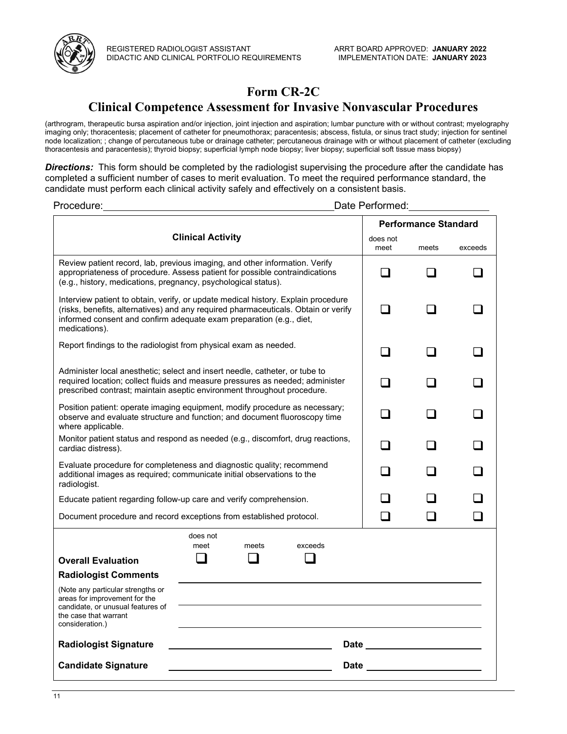

## **Form CR-2C**

## **Clinical Competence Assessment for Invasive Nonvascular Procedures**

(arthrogram, therapeutic bursa aspiration and/or injection, joint injection and aspiration; lumbar puncture with or without contrast; myelography imaging only; thoracentesis; placement of catheter for pneumothorax; paracentesis; abscess, fistula, or sinus tract study; injection for sentinel node localization; ; change of percutaneous tube or drainage catheter; percutaneous drainage with or without placement of catheter (excluding thoracentesis and paracentesis); thyroid biopsy; superficial lymph node biopsy; liver biopsy; superficial soft tissue mass biopsy)

*Directions:* This form should be completed by the radiologist supervising the procedure after the candidate has completed a sufficient number of cases to merit evaluation. To meet the required performance standard, the candidate must perform each clinical activity safely and effectively on a consistent basis.

| Procedure:                                                                                                                                                                                                                                                                        | Date Performed:                                                                                                                                                                                                                                |       |         |    |                |  |
|-----------------------------------------------------------------------------------------------------------------------------------------------------------------------------------------------------------------------------------------------------------------------------------|------------------------------------------------------------------------------------------------------------------------------------------------------------------------------------------------------------------------------------------------|-------|---------|----|----------------|--|
|                                                                                                                                                                                                                                                                                   |                                                                                                                                                                                                                                                |       |         |    |                |  |
| <b>Clinical Activity</b>                                                                                                                                                                                                                                                          | does not<br>meet                                                                                                                                                                                                                               | meets | exceeds |    |                |  |
| Review patient record, lab, previous imaging, and other information. Verify<br>appropriateness of procedure. Assess patient for possible contraindications<br>(e.g., history, medications, pregnancy, psychological status).                                                      |                                                                                                                                                                                                                                                |       |         |    |                |  |
| medications).                                                                                                                                                                                                                                                                     | Interview patient to obtain, verify, or update medical history. Explain procedure<br>(risks, benefits, alternatives) and any required pharmaceuticals. Obtain or verify<br>informed consent and confirm adequate exam preparation (e.g., diet, |       |         |    |                |  |
| Report findings to the radiologist from physical exam as needed.                                                                                                                                                                                                                  |                                                                                                                                                                                                                                                |       |         | П  | $\blacksquare$ |  |
| Administer local anesthetic; select and insert needle, catheter, or tube to<br>required location; collect fluids and measure pressures as needed; administer<br>prescribed contrast; maintain aseptic environment throughout procedure.                                           |                                                                                                                                                                                                                                                |       |         |    |                |  |
| Position patient: operate imaging equipment, modify procedure as necessary;<br>observe and evaluate structure and function; and document fluoroscopy time<br>where applicable.                                                                                                    |                                                                                                                                                                                                                                                |       |         |    |                |  |
| Monitor patient status and respond as needed (e.g., discomfort, drug reactions,<br>cardiac distress).                                                                                                                                                                             |                                                                                                                                                                                                                                                |       |         |    |                |  |
| Evaluate procedure for completeness and diagnostic quality; recommend<br>additional images as reguired; communicate initial observations to the<br>radiologist.                                                                                                                   |                                                                                                                                                                                                                                                |       |         |    |                |  |
| Educate patient regarding follow-up care and verify comprehension.                                                                                                                                                                                                                |                                                                                                                                                                                                                                                |       |         |    |                |  |
| Document procedure and record exceptions from established protocol.                                                                                                                                                                                                               |                                                                                                                                                                                                                                                |       |         | l. |                |  |
| <b>Overall Evaluation</b><br><b>Radiologist Comments</b><br>(Note any particular strengths or<br>areas for improvement for the<br>candidate, or unusual features of<br>the case that warrant                                                                                      | does not<br>meet                                                                                                                                                                                                                               | meets | exceeds |    |                |  |
| consideration.)<br><b>Radiologist Signature</b><br>Date and the contract of the contract of the contract of the contract of the contract of the contract of the contract of the contract of the contract of the contract of the contract of the contract of the contract of the c |                                                                                                                                                                                                                                                |       |         |    |                |  |
| <b>Candidate Signature</b>                                                                                                                                                                                                                                                        | <b>Date</b>                                                                                                                                                                                                                                    |       |         |    |                |  |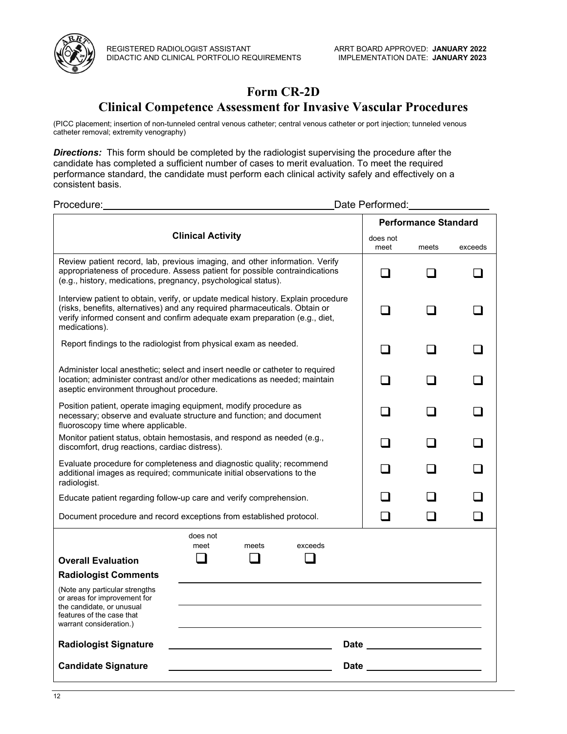

## **Form CR-2D**

## **Clinical Competence Assessment for Invasive Vascular Procedures**

(PICC placement; insertion of non-tunneled central venous catheter; central venous catheter or port injection; tunneled venous catheter removal; extremity venography)

*Directions:* This form should be completed by the radiologist supervising the procedure after the candidate has completed a sufficient number of cases to merit evaluation. To meet the required performance standard, the candidate must perform each clinical activity safely and effectively on a consistent basis.

| Procedure:                                                                                                                                                                                                                                                      |                  |       |         |             |                                                                                                                                                                                                                                | Date Performed:             |         |  |  |
|-----------------------------------------------------------------------------------------------------------------------------------------------------------------------------------------------------------------------------------------------------------------|------------------|-------|---------|-------------|--------------------------------------------------------------------------------------------------------------------------------------------------------------------------------------------------------------------------------|-----------------------------|---------|--|--|
|                                                                                                                                                                                                                                                                 |                  |       |         |             |                                                                                                                                                                                                                                | <b>Performance Standard</b> |         |  |  |
| <b>Clinical Activity</b><br>does not                                                                                                                                                                                                                            |                  |       |         |             |                                                                                                                                                                                                                                | meets                       | exceeds |  |  |
| Review patient record, lab, previous imaging, and other information. Verify<br>appropriateness of procedure. Assess patient for possible contraindications<br>(e.g., history, medications, pregnancy, psychological status).                                    |                  |       |         |             |                                                                                                                                                                                                                                |                             |         |  |  |
| Interview patient to obtain, verify, or update medical history. Explain procedure<br>(risks, benefits, alternatives) and any required pharmaceuticals. Obtain or<br>verify informed consent and confirm adequate exam preparation (e.g., diet,<br>medications). |                  |       |         |             |                                                                                                                                                                                                                                |                             |         |  |  |
| Report findings to the radiologist from physical exam as needed.                                                                                                                                                                                                |                  |       |         |             |                                                                                                                                                                                                                                |                             |         |  |  |
| Administer local anesthetic; select and insert needle or catheter to required<br>location; administer contrast and/or other medications as needed; maintain<br>aseptic environment throughout procedure.                                                        |                  |       |         |             |                                                                                                                                                                                                                                |                             |         |  |  |
| Position patient, operate imaging equipment, modify procedure as<br>necessary; observe and evaluate structure and function; and document<br>fluoroscopy time where applicable.                                                                                  |                  |       |         |             |                                                                                                                                                                                                                                |                             |         |  |  |
| Monitor patient status, obtain hemostasis, and respond as needed (e.g.,<br>discomfort, drug reactions, cardiac distress).                                                                                                                                       |                  |       |         |             |                                                                                                                                                                                                                                |                             |         |  |  |
| Evaluate procedure for completeness and diagnostic quality; recommend<br>additional images as required; communicate initial observations to the<br>radiologist.                                                                                                 |                  |       |         |             |                                                                                                                                                                                                                                |                             |         |  |  |
| Educate patient regarding follow-up care and verify comprehension.                                                                                                                                                                                              |                  |       |         |             |                                                                                                                                                                                                                                |                             |         |  |  |
| Document procedure and record exceptions from established protocol.                                                                                                                                                                                             |                  |       |         |             |                                                                                                                                                                                                                                |                             |         |  |  |
| <b>Overall Evaluation</b><br><b>Radiologist Comments</b><br>(Note any particular strengths<br>or areas for improvement for<br>the candidate, or unusual                                                                                                         | does not<br>meet | meets | exceeds |             |                                                                                                                                                                                                                                |                             |         |  |  |
| features of the case that<br>warrant consideration.)                                                                                                                                                                                                            |                  |       |         |             |                                                                                                                                                                                                                                |                             |         |  |  |
| <b>Radiologist Signature</b>                                                                                                                                                                                                                                    |                  |       |         |             | Date and the contract of the contract of the contract of the contract of the contract of the contract of the contract of the contract of the contract of the contract of the contract of the contract of the contract of the c |                             |         |  |  |
| <b>Candidate Signature</b>                                                                                                                                                                                                                                      |                  |       |         | <b>Date</b> |                                                                                                                                                                                                                                |                             |         |  |  |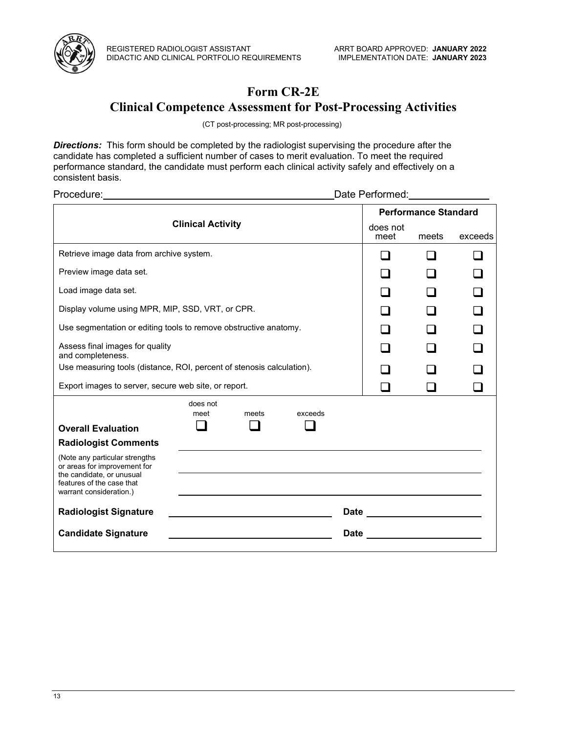

# **Form CR-2E**

## **Clinical Competence Assessment for Post-Processing Activities**

(CT post-processing; MR post-processing)

**Directions:** This form should be completed by the radiologist supervising the procedure after the candidate has completed a sufficient number of cases to merit evaluation. To meet the required performance standard, the candidate must perform each clinical activity safely and effectively on a consistent basis.

| Date Performed: National Performed:                                                                                                                 |                                                      |       |         |  |                                |                                |         |  |  |
|-----------------------------------------------------------------------------------------------------------------------------------------------------|------------------------------------------------------|-------|---------|--|--------------------------------|--------------------------------|---------|--|--|
|                                                                                                                                                     |                                                      |       |         |  |                                | <b>Performance Standard</b>    |         |  |  |
|                                                                                                                                                     | <b>Clinical Activity</b>                             |       |         |  |                                |                                | exceeds |  |  |
| Retrieve image data from archive system.                                                                                                            |                                                      |       |         |  |                                |                                |         |  |  |
| Preview image data set.                                                                                                                             |                                                      |       |         |  |                                |                                |         |  |  |
| Load image data set.                                                                                                                                |                                                      |       |         |  |                                |                                |         |  |  |
| Display volume using MPR, MIP, SSD, VRT, or CPR.                                                                                                    |                                                      |       |         |  |                                |                                |         |  |  |
| Use segmentation or editing tools to remove obstructive anatomy.                                                                                    |                                                      |       |         |  |                                |                                |         |  |  |
| Assess final images for quality<br>and completeness.                                                                                                |                                                      |       |         |  |                                |                                |         |  |  |
| Use measuring tools (distance, ROI, percent of stenosis calculation).                                                                               |                                                      |       |         |  |                                |                                |         |  |  |
|                                                                                                                                                     | Export images to server, secure web site, or report. |       |         |  |                                |                                |         |  |  |
|                                                                                                                                                     | does not<br>meet                                     | meets | exceeds |  |                                |                                |         |  |  |
| <b>Overall Evaluation</b>                                                                                                                           |                                                      |       |         |  |                                |                                |         |  |  |
| <b>Radiologist Comments</b>                                                                                                                         |                                                      |       |         |  |                                |                                |         |  |  |
| (Note any particular strengths<br>or areas for improvement for<br>the candidate, or unusual<br>features of the case that<br>warrant consideration.) |                                                      |       |         |  |                                |                                |         |  |  |
| <b>Radiologist Signature</b>                                                                                                                        |                                                      |       |         |  |                                | Date _________________________ |         |  |  |
| <b>Candidate Signature</b>                                                                                                                          |                                                      |       |         |  | Date _________________________ |                                |         |  |  |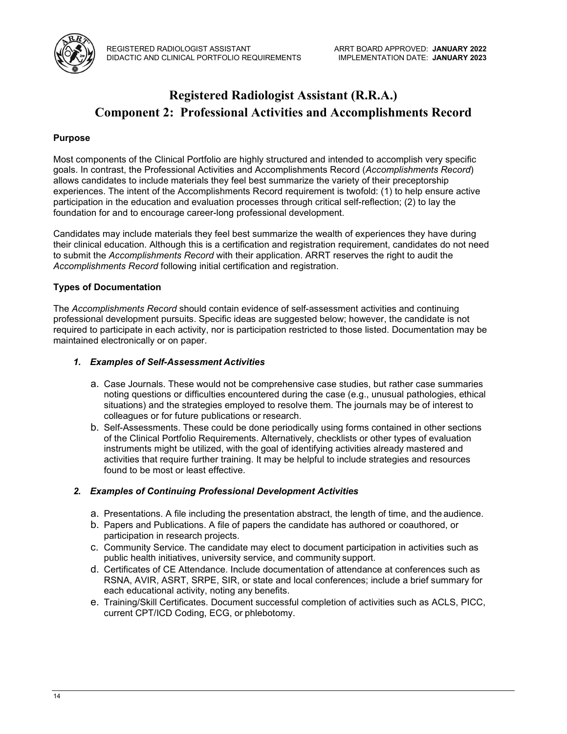

## **Registered Radiologist Assistant (R.R.A.) Component 2: Professional Activities and Accomplishments Record**

## **Purpose**

Most components of the Clinical Portfolio are highly structured and intended to accomplish very specific goals. In contrast, the Professional Activities and Accomplishments Record (*Accomplishments Record*) allows candidates to include materials they feel best summarize the variety of their preceptorship experiences. The intent of the Accomplishments Record requirement is twofold: (1) to help ensure active participation in the education and evaluation processes through critical self-reflection; (2) to lay the foundation for and to encourage career-long professional development.

Candidates may include materials they feel best summarize the wealth of experiences they have during their clinical education. Although this is a certification and registration requirement, candidates do not need to submit the *Accomplishments Record* with their application. ARRT reserves the right to audit the *Accomplishments Record* following initial certification and registration.

#### **Types of Documentation**

The *Accomplishments Record* should contain evidence of self-assessment activities and continuing professional development pursuits. Specific ideas are suggested below; however, the candidate is not required to participate in each activity, nor is participation restricted to those listed. Documentation may be maintained electronically or on paper.

#### *1. Examples of Self-Assessment Activities*

- a. Case Journals. These would not be comprehensive case studies, but rather case summaries noting questions or difficulties encountered during the case (e.g., unusual pathologies, ethical situations) and the strategies employed to resolve them. The journals may be of interest to colleagues or for future publications or research.
- b. Self-Assessments. These could be done periodically using forms contained in other sections of the Clinical Portfolio Requirements. Alternatively, checklists or other types of evaluation instruments might be utilized, with the goal of identifying activities already mastered and activities that require further training. It may be helpful to include strategies and resources found to be most or least effective.

#### *2. Examples of Continuing Professional Development Activities*

- a. Presentations. A file including the presentation abstract, the length of time, and the audience.
- b. Papers and Publications. A file of papers the candidate has authored or coauthored, or participation in research projects.
- c. Community Service. The candidate may elect to document participation in activities such as public health initiatives, university service, and community support.
- d. Certificates of CE Attendance. Include documentation of attendance at conferences such as RSNA, AVIR, ASRT, SRPE, SIR, or state and local conferences; include a brief summary for each educational activity, noting any benefits.
- e. Training/Skill Certificates. Document successful completion of activities such as ACLS, PICC, current CPT/ICD Coding, ECG, or phlebotomy.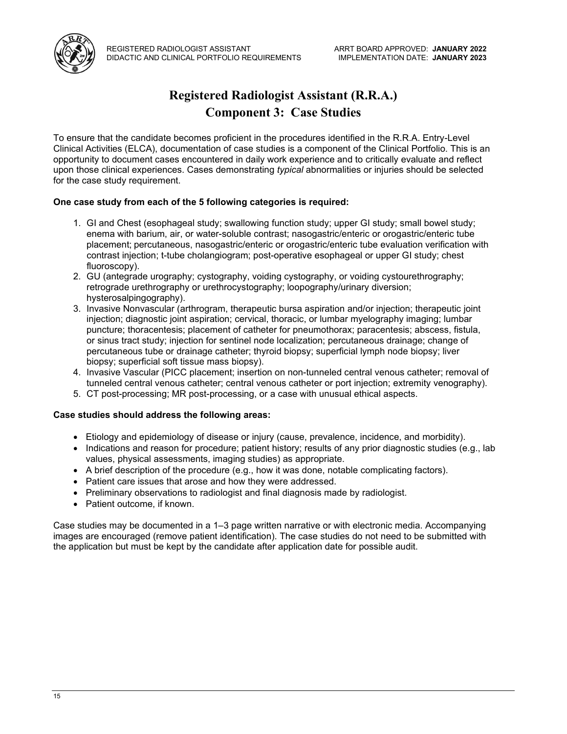



## **Registered Radiologist Assistant (R.R.A.) Component 3: Case Studies**

To ensure that the candidate becomes proficient in the procedures identified in the R.R.A. Entry-Level Clinical Activities (ELCA), documentation of case studies is a component of the Clinical Portfolio. This is an opportunity to document cases encountered in daily work experience and to critically evaluate and reflect upon those clinical experiences. Cases demonstrating *typical* abnormalities or injuries should be selected for the case study requirement.

## **One case study from each of the 5 following categories is required:**

- 1. GI and Chest (esophageal study; swallowing function study; upper GI study; small bowel study; enema with barium, air, or water-soluble contrast; nasogastric/enteric or orogastric/enteric tube placement; percutaneous, nasogastric/enteric or orogastric/enteric tube evaluation verification with contrast injection; t-tube cholangiogram; post-operative esophageal or upper GI study; chest fluoroscopy).
- 2. GU (antegrade urography; cystography, voiding cystography, or voiding cystourethrography; retrograde urethrography or urethrocystography; loopography/urinary diversion; hysterosalpingography).
- 3. Invasive Nonvascular (arthrogram, therapeutic bursa aspiration and/or injection; therapeutic joint injection; diagnostic joint aspiration; cervical, thoracic, or lumbar myelography imaging; lumbar puncture; thoracentesis; placement of catheter for pneumothorax; paracentesis; abscess, fistula, or sinus tract study; injection for sentinel node localization; percutaneous drainage; change of percutaneous tube or drainage catheter; thyroid biopsy; superficial lymph node biopsy; liver biopsy; superficial soft tissue mass biopsy).
- 4. Invasive Vascular (PICC placement; insertion on non-tunneled central venous catheter; removal of tunneled central venous catheter; central venous catheter or port injection; extremity venography).
- 5. CT post-processing; MR post-processing, or a case with unusual ethical aspects.

## **Case studies should address the following areas:**

- Etiology and epidemiology of disease or injury (cause, prevalence, incidence, and morbidity).
- Indications and reason for procedure; patient history; results of any prior diagnostic studies (e.g., lab values, physical assessments, imaging studies) as appropriate.
- A brief description of the procedure (e.g., how it was done, notable complicating factors).
- Patient care issues that arose and how they were addressed.
- Preliminary observations to radiologist and final diagnosis made by radiologist.
- Patient outcome, if known.

Case studies may be documented in a 1–3 page written narrative or with electronic media. Accompanying images are encouraged (remove patient identification). The case studies do not need to be submitted with the application but must be kept by the candidate after application date for possible audit.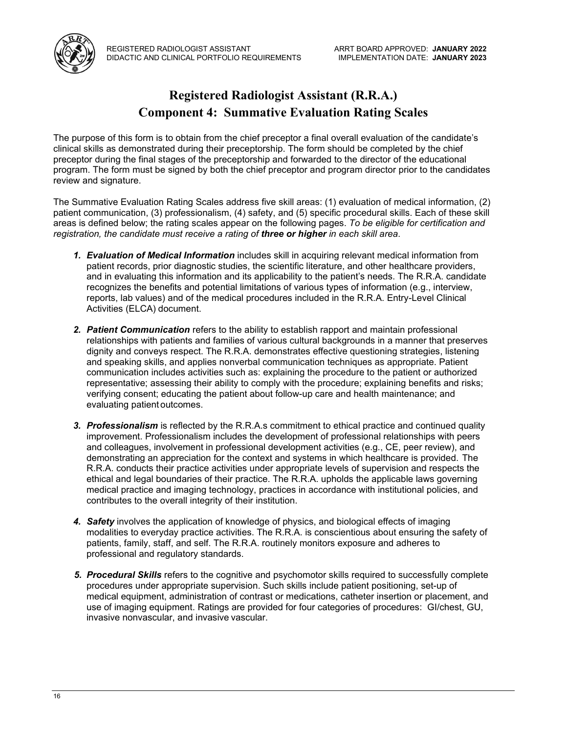

## **Registered Radiologist Assistant (R.R.A.) Component 4: Summative Evaluation Rating Scales**

The purpose of this form is to obtain from the chief preceptor a final overall evaluation of the candidate's clinical skills as demonstrated during their preceptorship. The form should be completed by the chief preceptor during the final stages of the preceptorship and forwarded to the director of the educational program. The form must be signed by both the chief preceptor and program director prior to the candidates review and signature.

The Summative Evaluation Rating Scales address five skill areas: (1) evaluation of medical information, (2) patient communication, (3) professionalism, (4) safety, and (5) specific procedural skills. Each of these skill areas is defined below; the rating scales appear on the following pages. *To be eligible for certification and registration, the candidate must receive a rating of three or higher in each skill area*.

- *1. Evaluation of Medical Information* includes skill in acquiring relevant medical information from patient records, prior diagnostic studies, the scientific literature, and other healthcare providers, and in evaluating this information and its applicability to the patient's needs. The R.R.A. candidate recognizes the benefits and potential limitations of various types of information (e.g., interview, reports, lab values) and of the medical procedures included in the R.R.A. Entry-Level Clinical Activities (ELCA) document.
- *2. Patient Communication* refers to the ability to establish rapport and maintain professional relationships with patients and families of various cultural backgrounds in a manner that preserves dignity and conveys respect. The R.R.A. demonstrates effective questioning strategies, listening and speaking skills, and applies nonverbal communication techniques as appropriate. Patient communication includes activities such as: explaining the procedure to the patient or authorized representative; assessing their ability to comply with the procedure; explaining benefits and risks; verifying consent; educating the patient about follow-up care and health maintenance; and evaluating patient outcomes.
- *3. Professionalism* is reflected by the R.R.A.s commitment to ethical practice and continued quality improvement. Professionalism includes the development of professional relationships with peers and colleagues, involvement in professional development activities (e.g., CE, peer review), and demonstrating an appreciation for the context and systems in which healthcare is provided. The R.R.A. conducts their practice activities under appropriate levels of supervision and respects the ethical and legal boundaries of their practice. The R.R.A. upholds the applicable laws governing medical practice and imaging technology, practices in accordance with institutional policies, and contributes to the overall integrity of their institution.
- *4. Safety* involves the application of knowledge of physics, and biological effects of imaging modalities to everyday practice activities. The R.R.A. is conscientious about ensuring the safety of patients, family, staff, and self. The R.R.A. routinely monitors exposure and adheres to professional and regulatory standards.
- *5. Procedural Skills* refers to the cognitive and psychomotor skills required to successfully complete procedures under appropriate supervision. Such skills include patient positioning, set-up of medical equipment, administration of contrast or medications, catheter insertion or placement, and use of imaging equipment. Ratings are provided for four categories of procedures: GI/chest, GU, invasive nonvascular, and invasive vascular.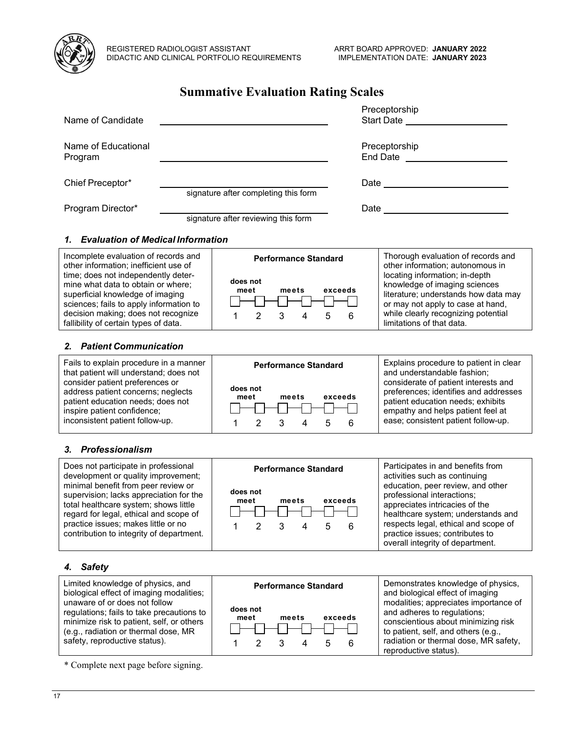

## **Summative Evaluation Rating Scales**

| Name of Candidate              |                                      | Preceptorship<br><b>Start Date</b> |
|--------------------------------|--------------------------------------|------------------------------------|
| Name of Educational<br>Program |                                      | Preceptorship<br>End Date          |
| Chief Preceptor*               | signature after completing this form | Date                               |
| Program Director*              | signature after reviewing this form  | Date                               |

#### *1. Evaluation of Medical Information*

| Incomplete evaluation of records and<br>other information; inefficient use of                                                                                                                                                            | <b>Performance Standard</b>               | Thorough evaluation of records and<br>other information; autonomous in                                                                                                                                           |  |  |
|------------------------------------------------------------------------------------------------------------------------------------------------------------------------------------------------------------------------------------------|-------------------------------------------|------------------------------------------------------------------------------------------------------------------------------------------------------------------------------------------------------------------|--|--|
| time; does not independently deter-<br>mine what data to obtain or where;<br>superficial knowledge of imaging<br>sciences; fails to apply information to<br>decision making; does not recognize<br>fallibility of certain types of data. | does not<br>exceeds<br>meets<br>meet<br>6 | locating information; in-depth<br>knowledge of imaging sciences<br>literature; understands how data may<br>or may not apply to case at hand,<br>while clearly recognizing potential<br>limitations of that data. |  |  |

#### *2. Patient Communication*

Fails to explain procedure in a manner that patient will understand; does not consider patient preferences or address patient concerns; neglects patient education needs; does not inspire patient confidence; inconsistent patient follow-up.



1 2 3 4 5 6

Explains procedure to patient in clear and understandable fashion; considerate of patient interests and preferences; identifies and addresses patient education needs; exhibits empathy and helps patient feel at ease; consistent patient follow-up.

## *3. Professionalism*

Does not participate in professional development or quality improvement; minimal benefit from peer review or supervision; lacks appreciation for the total healthcare system; shows little regard for legal, ethical and scope of practice issues; makes little or no contribution to integrity of department.



Participates in and benefits from activities such as continuing education, peer review, and other professional interactions; appreciates intricacies of the healthcare system; understands and respects legal, ethical and scope of practice issues; contributes to overall integrity of department.

#### *4. Safety*

Limited knowledge of physics, and biological effect of imaging modalities; unaware of or does not follow regulations; fails to take precautions to minimize risk to patient, self, or others (e.g., radiation or thermal dose, MR safety, reproductive status).

\* Complete next page before signing.



Demonstrates knowledge of physics, and biological effect of imaging modalities; appreciates importance of and adheres to regulations; conscientious about minimizing risk to patient, self, and others (e.g., radiation or thermal dose, MR safety, reproductive status).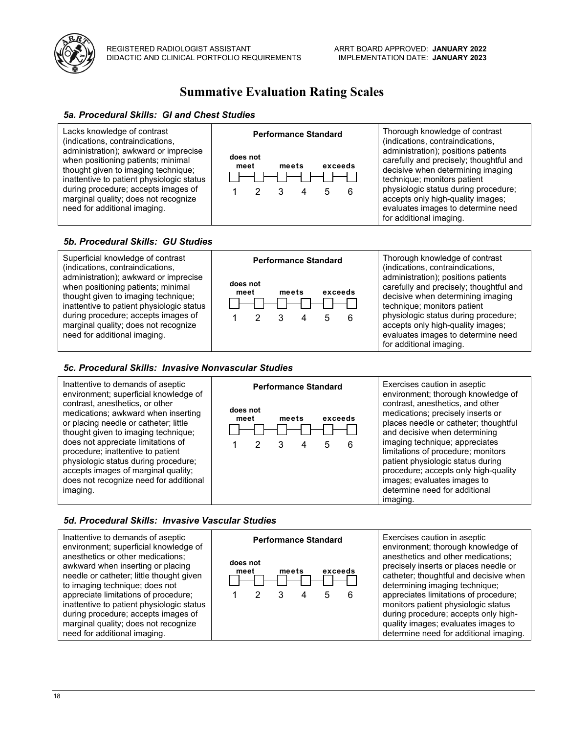

## **Summative Evaluation Rating Scales**

#### *5a. Procedural Skills: GI and Chest Studies*



## *5b. Procedural Skills: GU Studies*



#### *5c. Procedural Skills: Invasive Nonvascular Studies*

Inattentive to demands of aseptic environment; superficial knowledge of contrast, anesthetics, or other medications; awkward when inserting or placing needle or catheter; little thought given to imaging technique; does not appreciate limitations of procedure; inattentive to patient physiologic status during procedure; accepts images of marginal quality; does not recognize need for additional imaging.



Exercises caution in aseptic environment; thorough knowledge of contrast, anesthetics, and other medications; precisely inserts or places needle or catheter; thoughtful and decisive when determining imaging technique; appreciates limitations of procedure; monitors patient physiologic status during procedure; accepts only high-quality images; evaluates images to determine need for additional imaging.

## *5d. Procedural Skills: Invasive Vascular Studies*

Inattentive to demands of aseptic environment; superficial knowledge of anesthetics or other medications; awkward when inserting or placing needle or catheter; little thought given to imaging technique; does not appreciate limitations of procedure; inattentive to patient physiologic status during procedure; accepts images of marginal quality; does not recognize need for additional imaging.



Exercises caution in aseptic environment; thorough knowledge of anesthetics and other medications; precisely inserts or places needle or catheter; thoughtful and decisive when determining imaging technique; appreciates limitations of procedure; monitors patient physiologic status during procedure; accepts only highquality images; evaluates images to determine need for additional imaging.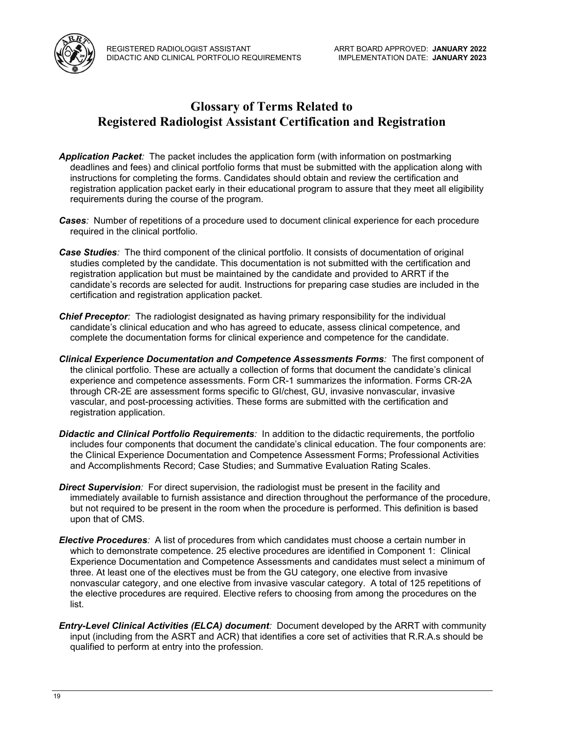

## **Glossary of Terms Related to Registered Radiologist Assistant Certification and Registration**

- *Application Packet:* The packet includes the application form (with information on postmarking deadlines and fees) and clinical portfolio forms that must be submitted with the application along with instructions for completing the forms. Candidates should obtain and review the certification and registration application packet early in their educational program to assure that they meet all eligibility requirements during the course of the program.
- *Cases:* Number of repetitions of a procedure used to document clinical experience for each procedure required in the clinical portfolio.
- *Case Studies:* The third component of the clinical portfolio. It consists of documentation of original studies completed by the candidate. This documentation is not submitted with the certification and registration application but must be maintained by the candidate and provided to ARRT if the candidate's records are selected for audit. Instructions for preparing case studies are included in the certification and registration application packet.
- *Chief Preceptor:* The radiologist designated as having primary responsibility for the individual candidate's clinical education and who has agreed to educate, assess clinical competence, and complete the documentation forms for clinical experience and competence for the candidate.
- *Clinical Experience Documentation and Competence Assessments Forms:* The first component of the clinical portfolio. These are actually a collection of forms that document the candidate's clinical experience and competence assessments. Form CR-1 summarizes the information. Forms CR-2A through CR-2E are assessment forms specific to GI/chest, GU, invasive nonvascular, invasive vascular, and post-processing activities. These forms are submitted with the certification and registration application.
- *Didactic and Clinical Portfolio Requirements:* In addition to the didactic requirements, the portfolio includes four components that document the candidate's clinical education. The four components are: the Clinical Experience Documentation and Competence Assessment Forms; Professional Activities and Accomplishments Record; Case Studies; and Summative Evaluation Rating Scales.
- **Direct Supervision**: For direct supervision, the radiologist must be present in the facility and immediately available to furnish assistance and direction throughout the performance of the procedure, but not required to be present in the room when the procedure is performed. This definition is based upon that of CMS.
- *Elective Procedures:* A list of procedures from which candidates must choose a certain number in which to demonstrate competence. 25 elective procedures are identified in Component 1: Clinical Experience Documentation and Competence Assessments and candidates must select a minimum of three. At least one of the electives must be from the GU category, one elective from invasive nonvascular category, and one elective from invasive vascular category. A total of 125 repetitions of the elective procedures are required. Elective refers to choosing from among the procedures on the list.
- *Entry-Level Clinical Activities (ELCA) document:* Document developed by the ARRT with community input (including from the ASRT and ACR) that identifies a core set of activities that R.R.A.s should be qualified to perform at entry into the profession.